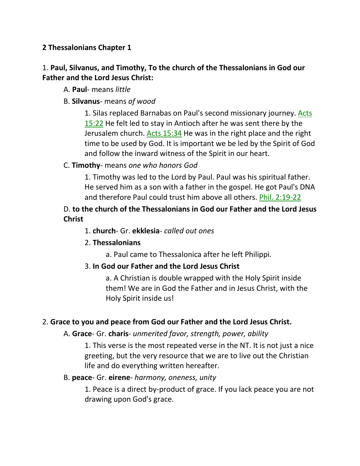## **2 Thessalonians Chapter 1**

## 1. **Paul, Silvanus, and Timothy, To the church of the Thessalonians in God our Father and the Lord Jesus Christ:**

- A. **Paul** means *little*
- B. **Silvanus** means *of wood*

1. Silas replaced Barnabas on Paul's second missionary journey. Acts 15:22 He felt led to stay in Antioch after he was sent there by the Jerusalem church. Acts 15:34 He was in the right place and the right time to be used by God. It is important we be led by the Spirit of God and follow the inward witness of the Spirit in our heart.

#### C. **Timothy**- means *one who honors God*

1. Timothy was led to the Lord by Paul. Paul was his spiritual father. He served him as a son with a father in the gospel. He got Paul's DNA and therefore Paul could trust him above all others. Phil. 2:19-22

## D. **to the church of the Thessalonians in God our Father and the Lord Jesus Christ**

1. **church**- Gr. **ekklesia**- *called out ones*

#### 2. **Thessalonians**

a. Paul came to Thessalonica after he left Philippi.

#### 3. **In God our Father and the Lord Jesus Christ**

a. A Christian is double wrapped with the Holy Spirit inside them! We are in God the Father and in Jesus Christ, with the Holy Spirit inside us!

#### 2. **Grace to you and peace from God our Father and the Lord Jesus Christ.**

#### A. **Grace**- Gr. **charis**- *unmerited favor, strength, power, ability*

1. This verse is the most repeated verse in the NT. It is not just a nice greeting, but the very resource that we are to live out the Christian life and do everything written hereafter.

#### B. **peace**- Gr. **eirene**- *harmony, oneness, unity*

1. Peace is a direct by-product of grace. If you lack peace you are not drawing upon God's grace.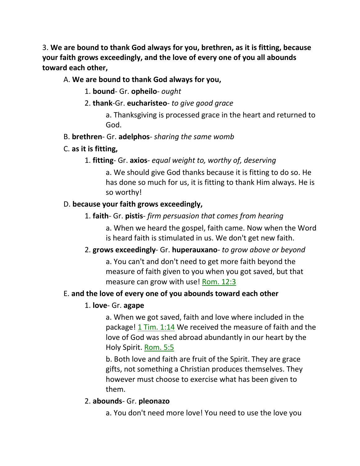3. **We are bound to thank God always for you, brethren, as it is fitting, because your faith grows exceedingly, and the love of every one of you all abounds toward each other,** 

## A. **We are bound to thank God always for you,**

- 1. **bound** Gr. **opheilo** *ought*
- 2. **thank**-Gr. **eucharisteo** *to give good grace*

a. Thanksgiving is processed grace in the heart and returned to God.

- B. **brethren** Gr. **adelphos** *sharing the same womb*
- C. **as it is fitting,**
	- 1. **fitting** Gr. **axios** *equal weight to, worthy of, deserving*

a. We should give God thanks because it is fitting to do so. He has done so much for us, it is fitting to thank Him always. He is so worthy!

## D. **because your faith grows exceedingly,**

1. **faith**- Gr. **pistis**- *firm persuasion that comes from hearing*

a. When we heard the gospel, faith came. Now when the Word is heard faith is stimulated in us. We don't get new faith.

2. **grows exceedingly**- Gr. **huperauxano**- *to grow above or beyond*

a. You can't and don't need to get more faith beyond the measure of faith given to you when you got saved, but that measure can grow with use! Rom. 12:3

## E. **and the love of every one of you abounds toward each other**

## 1. **love**- Gr. **agape**

a. When we got saved, faith and love where included in the package! 1 Tim. 1:14 We received the measure of faith and the love of God was shed abroad abundantly in our heart by the Holy Spirit. Rom. 5:5

b. Both love and faith are fruit of the Spirit. They are grace gifts, not something a Christian produces themselves. They however must choose to exercise what has been given to them.

#### 2. **abounds**- Gr. **pleonazo**

a. You don't need more love! You need to use the love you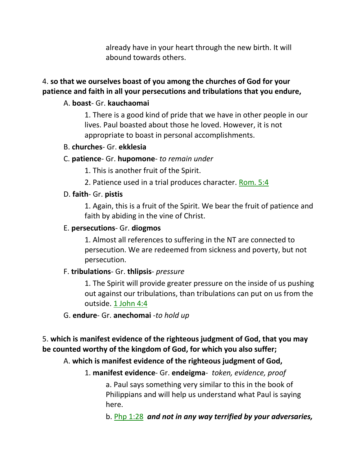already have in your heart through the new birth. It will abound towards others.

## 4. **so that we ourselves boast of you among the churches of God for your patience and faith in all your persecutions and tribulations that you endure,**

## A. **boast**- Gr. **kauchaomai**

1. There is a good kind of pride that we have in other people in our lives. Paul boasted about those he loved. However, it is not appropriate to boast in personal accomplishments.

#### B. **churches**- Gr. **ekklesia**

#### C. **patience**- Gr. **hupomone**- *to remain under*

- 1. This is another fruit of the Spirit.
- 2. Patience used in a trial produces character. Rom. 5:4

## D. **faith**- Gr. **pistis**

1. Again, this is a fruit of the Spirit. We bear the fruit of patience and faith by abiding in the vine of Christ.

#### E. **persecutions**- Gr. **diogmos**

1. Almost all references to suffering in the NT are connected to persecution. We are redeemed from sickness and poverty, but not persecution.

#### F. **tribulations**- Gr. **thlipsis**- *pressure*

1. The Spirit will provide greater pressure on the inside of us pushing out against our tribulations, than tribulations can put on us from the outside. 1 John 4:4

#### G. **endure**- Gr. **anechomai** -*to hold up*

5. **which is manifest evidence of the righteous judgment of God, that you may be counted worthy of the kingdom of God, for which you also suffer;** 

## A. **which is manifest evidence of the righteous judgment of God,**

## 1. **manifest evidence**- Gr. **endeigma**- *token, evidence, proof*

a. Paul says something very similar to this in the book of Philippians and will help us understand what Paul is saying here.

b. Php 1:28 *and not in any way terrified by your adversaries,*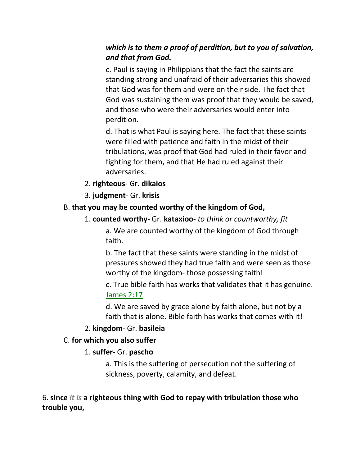## *which is to them a proof of perdition, but to you of salvation, and that from God.*

c. Paul is saying in Philippians that the fact the saints are standing strong and unafraid of their adversaries this showed that God was for them and were on their side. The fact that God was sustaining them was proof that they would be saved, and those who were their adversaries would enter into perdition.

d. That is what Paul is saying here. The fact that these saints were filled with patience and faith in the midst of their tribulations, was proof that God had ruled in their favor and fighting for them, and that He had ruled against their adversaries.

## 2. **righteous**- Gr. **dikaios**

## 3. **judgment**- Gr. **krisis**

## B. **that you may be counted worthy of the kingdom of God,**

## 1. **counted worthy**- Gr. **kataxioo**- *to think or countworthy, fit*

a. We are counted worthy of the kingdom of God through faith.

b. The fact that these saints were standing in the midst of pressures showed they had true faith and were seen as those worthy of the kingdom- those possessing faith!

c. True bible faith has works that validates that it has genuine. James 2:17

d. We are saved by grace alone by faith alone, but not by a faith that is alone. Bible faith has works that comes with it!

#### 2. **kingdom**- Gr. **basileia**

## C. **for which you also suffer**

## 1. **suffer**- Gr. **pascho**

a. This is the suffering of persecution not the suffering of sickness, poverty, calamity, and defeat.

6. **since** *it is* **a righteous thing with God to repay with tribulation those who trouble you,**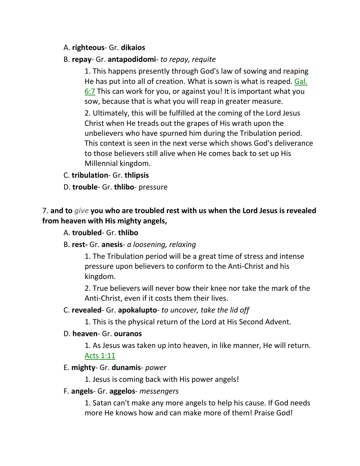#### A. **righteous**- Gr. **dikaios**

#### B. **repay**- Gr. **antapodidomi**- *to repay, requite*

1. This happens presently through God's law of sowing and reaping He has put into all of creation. What is sown is what is reaped. Gal. 6:7 This can work for you, or against you! It is important what you sow, because that is what you will reap in greater measure.

2. Ultimately, this will be fulfilled at the coming of the Lord Jesus Christ when He treads out the grapes of His wrath upon the unbelievers who have spurned him during the Tribulation period. This context is seen in the next verse which shows God's deliverance to those believers still alive when He comes back to set up His Millennial kingdom.

#### C. **tribulation**- Gr. **thlipsis**

D. **trouble**- Gr. **thlibo**- pressure

## 7. **and to** *give* **you who are troubled rest with us when the Lord Jesus is revealed from heaven with His mighty angels,**

#### A. **troubled**- Gr. **thlibo**

B. **rest-** Gr. **anesis**- *a loosening, relaxing*

1. The Tribulation period will be a great time of stress and intense pressure upon believers to conform to the Anti-Christ and his kingdom.

2. True believers will never bow their knee nor take the mark of the Anti-Christ, even if it costs them their lives.

#### C. **revealed**- Gr. **apokalupto**- *to uncover, take the lid off*

1. This is the physical return of the Lord at His Second Advent.

#### D. **heaven**- Gr. **ouranos**

1. As Jesus was taken up into heaven, in like manner, He will return. Acts 1:11

#### E. **mighty**- Gr. **dunamis**- *power*

1. Jesus is coming back with His power angels!

#### F. **angels**- Gr. **aggelos**- *messengers*

1. Satan can't make any more angels to help his cause. If God needs more He knows how and can make more of them! Praise God!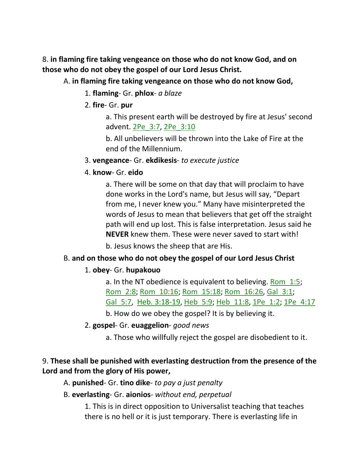8. **in flaming fire taking vengeance on those who do not know God, and on those who do not obey the gospel of our Lord Jesus Christ.** 

- A. **in flaming fire taking vengeance on those who do not know God,**
	- 1. **flaming** Gr. **phlox** *a blaze*
	- 2. **fire** Gr. **pur**

a. This present earth will be destroyed by fire at Jesus' second advent. 2Pe\_3:7, 2Pe\_3:10

b. All unbelievers will be thrown into the Lake of Fire at the end of the Millennium.

- 3. **vengeance** Gr. **ekdikesis** *to execute justice*
- 4. **know** Gr. **eido**

a. There will be some on that day that will proclaim to have done works in the Lord's name, but Jesus will say, "Depart from me, I never knew you." Many have misinterpreted the words of Jesus to mean that believers that get off the straight path will end up lost. This is false interpretation. Jesus said he **NEVER** knew them. These were never saved to start with!

b. Jesus knows the sheep that are His.

# B. **and on those who do not obey the gospel of our Lord Jesus Christ**

## 1. **obey**- Gr. **hupakouo**

a. In the NT obedience is equivalent to believing. Rom\_1:5; Rom\_2:8; Rom\_10:16; Rom\_15:18; Rom\_16:26, Gal\_3:1; Gal 5:7, Heb. 3:18-19, Heb 5:9; Heb 11:8, 1Pe 1:2; 1Pe 4:17

b. How do we obey the gospel? It is by believing it.

2. **gospel**- Gr. **euaggelion**- *good news*

a. Those who willfully reject the gospel are disobedient to it.

# 9. **These shall be punished with everlasting destruction from the presence of the Lord and from the glory of His power,**

- A. **punished** Gr. **tino dike** *to pay a just penalty*
- B. **everlasting** Gr. **aionios** *without end, perpetual*

1. This is in direct opposition to Universalist teaching that teaches there is no hell or it is just temporary. There is everlasting life in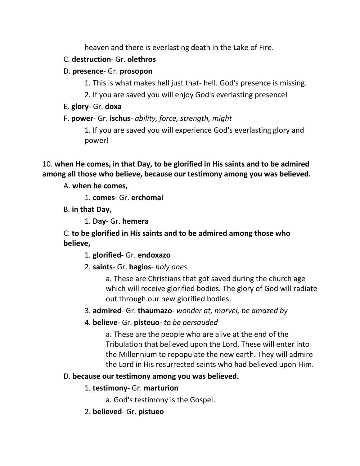heaven and there is everlasting death in the Lake of Fire.

## C. **destruction**- Gr. **olethros**

# D. **presence**- Gr. **prosopon**

- 1. This is what makes hell just that- hell. God's presence is missing.
- 2. If you are saved you will enjoy God's everlasting presence!
- E. **glory** Gr. **doxa**
- F. **power** Gr. **ischus** *ability, force, strength, might*

1. If you are saved you will experience God's everlasting glory and power!

10. **when He comes, in that Day, to be glorified in His saints and to be admired among all those who believe, because our testimony among you was believed.** 

A. **when he comes,**

1. **comes**- Gr. **erchomai**

B. **in that Day,**

1. **Day**- Gr. **hemera**

C. **to be glorified in His saints and to be admired among those who believe,**

1. **glorified-** Gr. **endoxazo**

2. **saints**- Gr. **hagios**- *holy ones*

a. These are Christians that got saved during the church age which will receive glorified bodies. The glory of God will radiate out through our new glorified bodies.

3. **admired**- Gr. **thaumazo**- *wonder at, marvel, be amazed by*

4. **believe**- Gr. **pisteuo**- *to be persauded*

a. These are the people who are alive at the end of the Tribulation that believed upon the Lord. These will enter into the Millennium to repopulate the new earth. They will admire the Lord in His resurrected saints who had believed upon Him.

# D. **because our testimony among you was believed.**

- 1. **testimony** Gr. **marturion**
	- a. God's testimony is the Gospel.
- 2. **believed** Gr. **pistueo**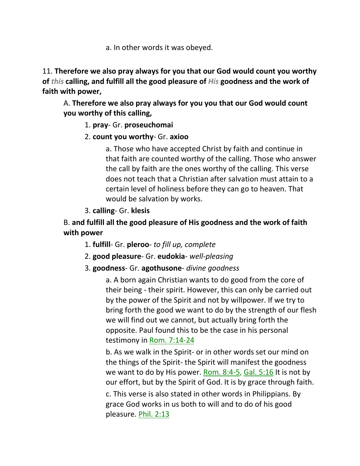a. In other words it was obeyed.

11. **Therefore we also pray always for you that our God would count you worthy of** *this* **calling, and fulfill all the good pleasure of** *His* **goodness and the work of faith with power,** 

A. **Therefore we also pray always for you you that our God would count you worthy of this calling,**

## 1. **pray**- Gr. **proseuchomai**

2. **count you worthy**- Gr. **axioo**

a. Those who have accepted Christ by faith and continue in that faith are counted worthy of the calling. Those who answer the call by faith are the ones worthy of the calling. This verse does not teach that a Christian after salvation must attain to a certain level of holiness before they can go to heaven. That would be salvation by works.

3. **calling**- Gr. **klesis**

# B. **and fulfill all the good pleasure of His goodness and the work of faith with power**

- 1. **fulfill** Gr. **pleroo** *to fill up, complete*
- 2. **good pleasure** Gr. **eudokia** *well-pleasing*
- 3. **goodness** Gr. **agothusone** *divine goodness*

a. A born again Christian wants to do good from the core of their being - their spirit. However, this can only be carried out by the power of the Spirit and not by willpower. If we try to bring forth the good we want to do by the strength of our flesh we will find out we cannot, but actually bring forth the opposite. Paul found this to be the case in his personal testimony in Rom. 7:14-24

b. As we walk in the Spirit- or in other words set our mind on the things of the Spirit- the Spirit will manifest the goodness we want to do by His power. Rom. 8:4-5, Gal. 5:16 It is not by our effort, but by the Spirit of God. It is by grace through faith.

c. This verse is also stated in other words in Philippians. By grace God works in us both to will and to do of his good pleasure. Phil. 2:13